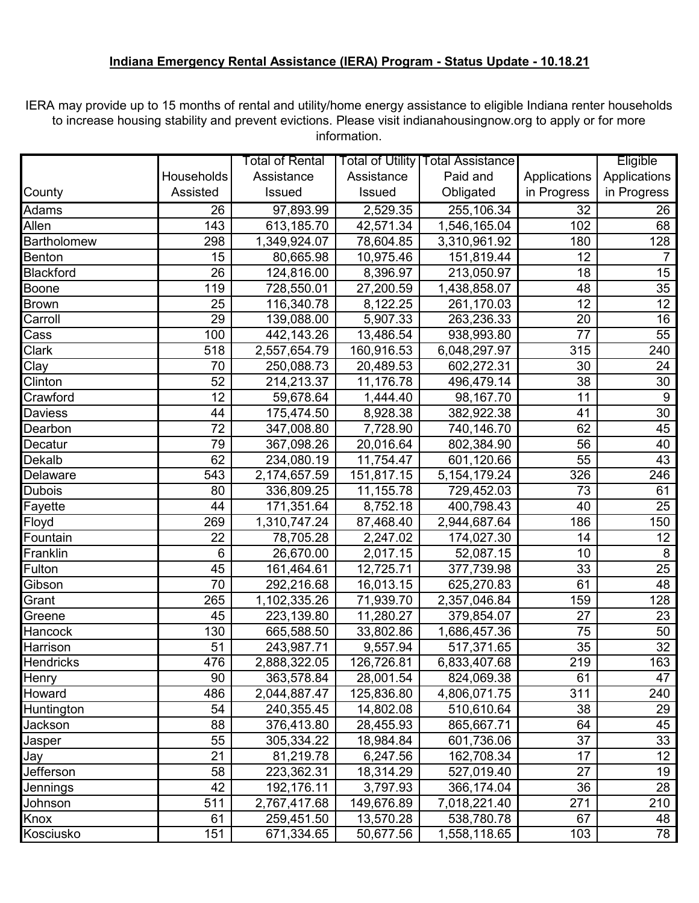IERA may provide up to 15 months of rental and utility/home energy assistance to eligible Indiana renter households to increase housing stability and prevent evictions. Please visit indianahousingnow.org to apply or for more information.

|                    |            | Total of Rental |            | Total of Utility   Total Assistance |                 | <b>Eligible</b> |
|--------------------|------------|-----------------|------------|-------------------------------------|-----------------|-----------------|
|                    | Households | Assistance      | Assistance | Paid and                            | Applications    | Applications    |
| County             | Assisted   | Issued          | Issued     | Obligated                           | in Progress     | in Progress     |
| Adams              | 26         | 97,893.99       | 2,529.35   | 255,106.34                          | $\overline{32}$ | 26              |
| Allen              | 143        | 613,185.70      | 42,571.34  | 1,546,165.04                        | 102             | 68              |
| <b>Bartholomew</b> | 298        | 1,349,924.07    | 78,604.85  | 3,310,961.92                        | 180             | 128             |
| Benton             | 15         | 80,665.98       | 10,975.46  | 151,819.44                          | 12              | $\overline{7}$  |
| Blackford          | 26         | 124,816.00      | 8,396.97   | 213,050.97                          | 18              | $\overline{15}$ |
| Boone              | 119        | 728,550.01      | 27,200.59  | 1,438,858.07                        | 48              | 35              |
| <b>Brown</b>       | 25         | 116,340.78      | 8,122.25   | 261,170.03                          | 12              | 12 <sup>2</sup> |
| Carroll            | 29         | 139,088.00      | 5,907.33   | 263,236.33                          | 20              | 16              |
| Cass               | 100        | 442,143.26      | 13,486.54  | 938,993.80                          | 77              | 55              |
| <b>Clark</b>       | 518        | 2,557,654.79    | 160,916.53 | 6,048,297.97                        | 315             | 240             |
| $\overline{C}$ lay | 70         | 250,088.73      | 20,489.53  | 602,272.31                          | 30              | 24              |
| Clinton            | 52         | 214,213.37      | 11,176.78  | 496,479.14                          | 38              | 30              |
| Crawford           | 12         | 59,678.64       | 1,444.40   | 98,167.70                           | 11              | 9               |
| Daviess            | 44         | 175,474.50      | 8,928.38   | 382,922.38                          | 41              | 30              |
| Dearbon            | 72         | 347,008.80      | 7,728.90   | 740,146.70                          | 62              | 45              |
| Decatur            | 79         | 367,098.26      | 20,016.64  | 802,384.90                          | 56              | 40              |
| Dekalb             | 62         | 234,080.19      | 11,754.47  | 601,120.66                          | 55              | 43              |
| Delaware           | 543        | 2,174,657.59    | 151,817.15 | 5, 154, 179. 24                     | 326             | 246             |
| <b>Dubois</b>      | 80         | 336,809.25      | 11,155.78  | 729,452.03                          | 73              | 61              |
| Fayette            | 44         | 171,351.64      | 8,752.18   | 400,798.43                          | 40              | 25              |
| Floyd              | 269        | 1,310,747.24    | 87,468.40  | 2,944,687.64                        | 186             | 150             |
| Fountain           | 22         | 78,705.28       | 2,247.02   | 174,027.30                          | 14              | 12 <sub>2</sub> |
| Franklin           | 6          | 26,670.00       | 2,017.15   | 52,087.15                           | 10              | 8               |
| Fulton             | 45         | 161,464.61      | 12,725.71  | 377,739.98                          | 33              | 25              |
| Gibson             | 70         | 292,216.68      | 16,013.15  | 625,270.83                          | 61              | 48              |
| Grant              | 265        | 1,102,335.26    | 71,939.70  | 2,357,046.84                        | 159             | 128             |
| Greene             | 45         | 223,139.80      | 11,280.27  | 379,854.07                          | 27              | 23              |
| Hancock            | 130        | 665,588.50      | 33,802.86  | 1,686,457.36                        | 75              | 50              |
| Harrison           | 51         | 243,987.71      | 9,557.94   | 517,371.65                          | 35              | 32              |
| <b>Hendricks</b>   | 476        | 2,888,322.05    | 126,726.81 | 6,833,407.68                        | 219             | 163             |
| <b>Henry</b>       | 90         | 363,578.84      | 28,001.54  | 824,069.38                          | 61              | 47              |
| Howard             | 486        | 2,044,887.47    | 125,836.80 | 4,806,071.75                        | 311             | 240             |
| Huntington         | 54         | 240,355.45      | 14,802.08  | 510,610.64                          | 38              | 29              |
| Jackson            | 88         | 376,413.80      | 28,455.93  | 865,667.71                          | 64              | 45              |
| Jasper             | 55         | 305,334.22      | 18,984.84  | 601,736.06                          | 37              | 33              |
| Jay                | 21         | 81,219.78       | 6,247.56   | 162,708.34                          | 17              | 12              |
| Jefferson          | 58         | 223,362.31      | 18,314.29  | 527,019.40                          | 27              | 19              |
| Jennings           | 42         | 192,176.11      | 3,797.93   | 366,174.04                          | 36              | 28              |
| Johnson            | 511        | 2,767,417.68    | 149,676.89 | 7,018,221.40                        | 271             | 210             |
| Knox               | 61         | 259,451.50      | 13,570.28  | 538,780.78                          | 67              | 48              |
| Kosciusko          | 151        | 671,334.65      | 50,677.56  | 1,558,118.65                        | 103             | 78              |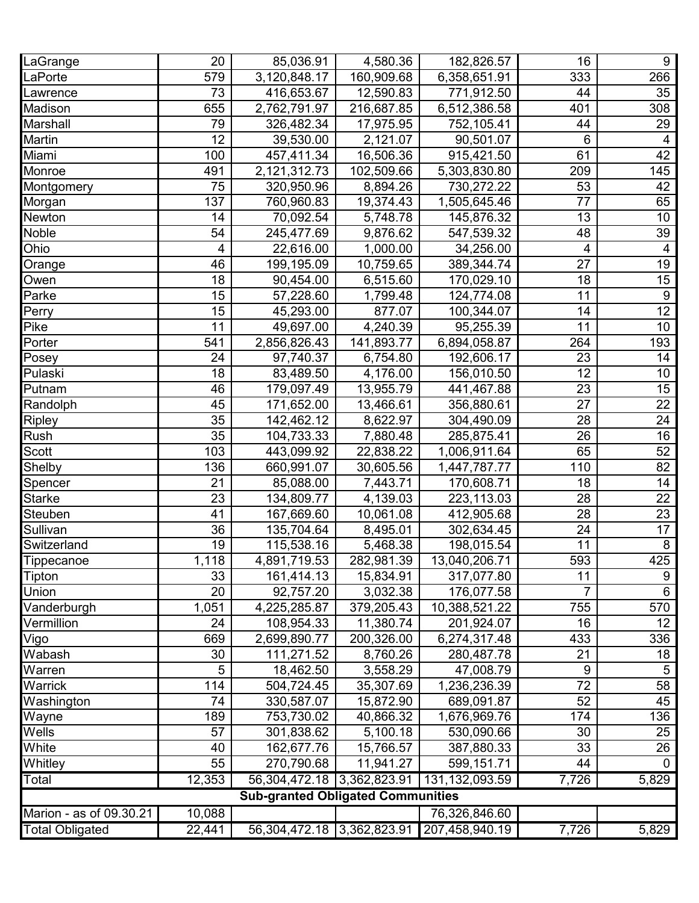| LaGrange                | 20     | 85,036.91                                | 4,580.36   | 182,826.57     | 16    | 9               |
|-------------------------|--------|------------------------------------------|------------|----------------|-------|-----------------|
| LaPorte                 | 579    | 3,120,848.17                             | 160,909.68 | 6,358,651.91   | 333   | 266             |
| Lawrence                | 73     | 416,653.67                               | 12,590.83  | 771,912.50     | 44    | 35              |
| Madison                 | 655    | 2,762,791.97                             | 216,687.85 | 6,512,386.58   | 401   | 308             |
| Marshall                | 79     | 326,482.34                               | 17,975.95  | 752,105.41     | 44    | 29              |
| <b>Martin</b>           | 12     | 39,530.00                                | 2,121.07   | 90,501.07      | 6     | 4               |
| Miami                   | 100    | 457,411.34                               | 16,506.36  | 915,421.50     | 61    | 42              |
| Monroe                  | 491    | 2,121,312.73                             | 102,509.66 | 5,303,830.80   | 209   | 145             |
| Montgomery              | 75     | 320,950.96                               | 8,894.26   | 730,272.22     | 53    | 42              |
| Morgan                  | 137    | 760,960.83                               | 19,374.43  | 1,505,645.46   | 77    | 65              |
| Newton                  | 14     | 70,092.54                                | 5,748.78   | 145,876.32     | 13    | 10              |
| Noble                   | 54     | 245,477.69                               | 9,876.62   | 547,539.32     | 48    | 39              |
| Ohio                    | 4      | 22,616.00                                | 1,000.00   | 34,256.00      | 4     | 4               |
| Orange                  | 46     | 199,195.09                               | 10,759.65  | 389,344.74     | 27    | 19              |
| Owen                    | 18     | 90,454.00                                | 6,515.60   | 170,029.10     | 18    | 15              |
| Parke                   | 15     | 57,228.60                                | 1,799.48   | 124,774.08     | 11    | 9               |
| Perry                   | 15     | 45,293.00                                | 877.07     | 100,344.07     | 14    | 12              |
| Pike                    | 11     | 49,697.00                                | 4,240.39   | 95,255.39      | 11    | 10 <sup>°</sup> |
| Porter                  | 541    | 2,856,826.43                             | 141,893.77 | 6,894,058.87   | 264   | 193             |
| Posey                   | 24     | 97,740.37                                | 6,754.80   | 192,606.17     | 23    | 14              |
| Pulaski                 | 18     | 83,489.50                                | 4,176.00   | 156,010.50     | 12    | 10              |
| Putnam                  | 46     | 179,097.49                               | 13,955.79  | 441,467.88     | 23    | 15              |
| Randolph                | 45     | 171,652.00                               | 13,466.61  | 356,880.61     | 27    | 22              |
| <b>Ripley</b>           | 35     | 142,462.12                               | 8,622.97   | 304,490.09     | 28    | 24              |
| Rush                    | 35     | 104,733.33                               | 7,880.48   | 285,875.41     | 26    | 16              |
| Scott                   | 103    | 443,099.92                               | 22,838.22  | 1,006,911.64   | 65    | 52              |
| Shelby                  | 136    | 660,991.07                               | 30,605.56  | 1,447,787.77   | 110   | 82              |
| Spencer                 | 21     | 85,088.00                                | 7,443.71   | 170,608.71     | 18    | 14              |
| <b>Starke</b>           | 23     | 134,809.77                               | 4,139.03   | 223,113.03     | 28    | 22              |
| Steuben                 | 41     | 167,669.60                               | 10,061.08  | 412,905.68     | 28    | 23              |
| Sullivan                | 36     | 135,704.64                               | 8,495.01   | 302,634.45     | 24    | 17              |
| Switzerland             | 19     | 115,538.16                               | 5,468.38   | 198,015.54     | 11    | 8               |
| Tippecanoe              | 1,118  | 4,891,719.53                             | 282,981.39 | 13,040,206.71  | 593   | 425             |
| Tipton                  | 33     | 161,414.13                               | 15,834.91  | 317,077.80     | 11    | 9               |
| Union                   | 20     | 92,757.20                                | 3,032.38   | 176,077.58     | 7     | 6               |
| Vanderburgh             | 1,051  | 4,225,285.87                             | 379,205.43 | 10,388,521.22  | 755   | 570             |
| Vermillion              | 24     | 108,954.33                               | 11,380.74  | 201,924.07     | 16    | 12              |
| Vigo                    | 669    | 2,699,890.77                             | 200,326.00 | 6,274,317.48   | 433   | 336             |
| Wabash                  | 30     | 111,271.52                               | 8,760.26   | 280,487.78     | 21    | 18              |
| Warren                  | 5      | 18,462.50                                | 3,558.29   | 47,008.79      | 9     | 5               |
| Warrick                 | 114    | 504,724.45                               | 35,307.69  | 1,236,236.39   | 72    | 58              |
| Washington              | 74     | 330,587.07                               | 15,872.90  | 689,091.87     | 52    | 45              |
| Wayne                   | 189    | 753,730.02                               | 40,866.32  | 1,676,969.76   | 174   | 136             |
| Wells                   | 57     | 301,838.62                               | 5,100.18   | 530,090.66     | 30    | 25              |
| White                   | 40     | 162,677.76                               | 15,766.57  | 387,880.33     | 33    | 26              |
| Whitley                 | 55     | 270,790.68                               | 11,941.27  | 599,151.71     | 44    | $\Omega$        |
| Total                   | 12,353 | 56,304,472.18 3,362,823.91               |            | 131,132,093.59 | 7,726 | 5,829           |
|                         |        | <b>Sub-granted Obligated Communities</b> |            |                |       |                 |
|                         |        |                                          |            |                |       |                 |
| Marion - as of 09.30.21 | 10,088 |                                          |            | 76,326,846.60  |       |                 |
| <b>Total Obligated</b>  | 22,441 | 56,304,472.18 3,362,823.91               |            | 207,458,940.19 | 7,726 | 5,829           |